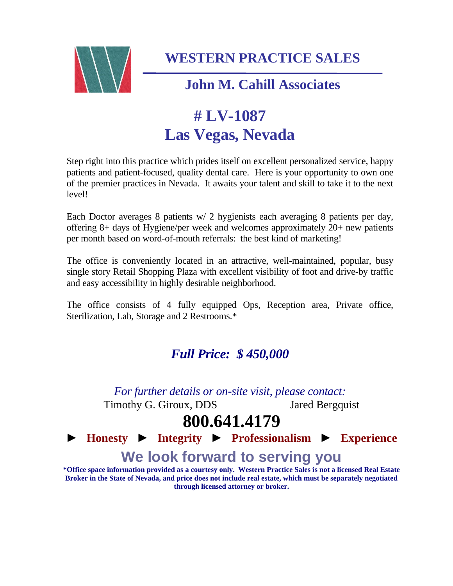

**WESTERN PRACTICE SALES**

### **John M. Cahill Associates**

# **# LV-1087 Las Vegas, Nevada**

Step right into this practice which prides itself on excellent personalized service, happy patients and patient-focused, quality dental care. Here is your opportunity to own one of the premier practices in Nevada. It awaits your talent and skill to take it to the next level!

Each Doctor averages 8 patients w/ 2 hygienists each averaging 8 patients per day, offering 8+ days of Hygiene/per week and welcomes approximately 20+ new patients per month based on word-of-mouth referrals: the best kind of marketing!

The office is conveniently located in an attractive, well-maintained, popular, busy single story Retail Shopping Plaza with excellent visibility of foot and drive-by traffic and easy accessibility in highly desirable neighborhood.

The office consists of 4 fully equipped Ops, Reception area, Private office, Sterilization, Lab, Storage and 2 Restrooms.\*

### *Full Price: \$ 450,000*

*For further details or on-site visit, please contact:* Timothy G. Giroux, DDS Jared Bergquist

## **800.641.4179**

► **Honesty** ► **Integrity** ► **Professionalism** ► **Experience We look forward to serving you**

**\*Office space information provided as a courtesy only. Western Practice Sales is not a licensed Real Estate Broker in the State of Nevada, and price does not include real estate, which must be separately negotiated through licensed attorney or broker.**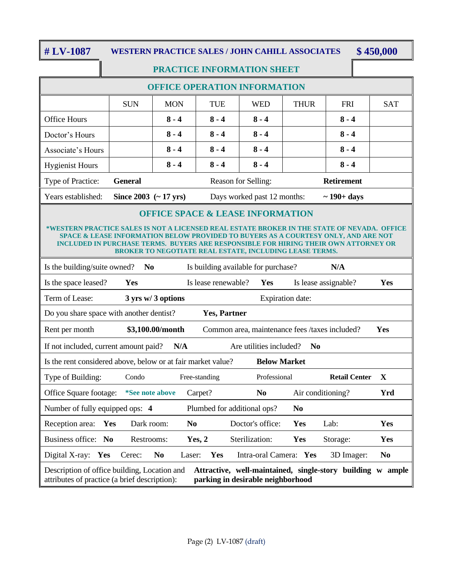**# LV-1087 WESTERN PRACTICE SALES / JOHN CAHILL ASSOCIATES \$ 450,000**

### **PRACTICE INFORMATION SHEET**

### **OFFICE OPERATION INFORMATION**

|                        | <b>SUN</b>                                  | <b>MON</b> | TUE     | WED                         | <b>THUR</b> | <b>FRI</b>        | <b>SAT</b> |
|------------------------|---------------------------------------------|------------|---------|-----------------------------|-------------|-------------------|------------|
| <b>Office Hours</b>    |                                             | $8 - 4$    | $8 - 4$ | $8 - 4$                     |             | $8 - 4$           |            |
| Doctor's Hours         |                                             | $8 - 4$    | $8 - 4$ | $8 - 4$                     |             | $8 - 4$           |            |
| Associate's Hours      |                                             | $8 - 4$    | $8 - 4$ | $8 - 4$                     |             | $8 - 4$           |            |
| <b>Hygienist Hours</b> |                                             | $8 - 4$    | $8 - 4$ | $8 - 4$                     |             | $8 - 4$           |            |
| Type of Practice:      | <b>General</b>                              |            |         | Reason for Selling:         |             | <b>Retirement</b> |            |
| Years established:     | Since $2003 \left( ~17 \text{ yrs} \right)$ |            |         | Days worked past 12 months: |             | $\sim$ 190+ days  |            |

#### **OFFICE SPACE & LEASE INFORMATION**

#### **\*WESTERN PRACTICE SALES IS NOT A LICENSED REAL ESTATE BROKER IN THE STATE OF NEVADA. OFFICE SPACE & LEASE INFORMATION BELOW PROVIDED TO BUYERS AS A COURTESY ONLY, AND ARE NOT INCLUDED IN PURCHASE TERMS. BUYERS ARE RESPONSIBLE FOR HIRING THEIR OWN ATTORNEY OR BROKER TO NEGOTIATE REAL ESTATE, INCLUDING LEASE TERMS.**

| Is the building/suite owned?                                                                                                                                                                           | N <sub>0</sub>               |                         | Is building available for purchase?            |                | N/A                  |                |
|--------------------------------------------------------------------------------------------------------------------------------------------------------------------------------------------------------|------------------------------|-------------------------|------------------------------------------------|----------------|----------------------|----------------|
| Is the space leased?                                                                                                                                                                                   | Yes                          | Is lease renewable?     | <b>Yes</b>                                     |                | Is lease assignable? | <b>Yes</b>     |
| Term of Lease:                                                                                                                                                                                         | $3 \text{ yrs}$ w/ 3 options | <b>Expiration date:</b> |                                                |                |                      |                |
| Do you share space with another dentist?<br><b>Yes, Partner</b>                                                                                                                                        |                              |                         |                                                |                |                      |                |
| Rent per month                                                                                                                                                                                         | \$3,100.00/month             |                         | Common area, maintenance fees /taxes included? |                |                      | <b>Yes</b>     |
| If not included, current amount paid?                                                                                                                                                                  | N/A                          |                         | Are utilities included?                        | N <sub>0</sub> |                      |                |
| Is the rent considered above, below or at fair market value?                                                                                                                                           |                              |                         | <b>Below Market</b>                            |                |                      |                |
| Type of Building:                                                                                                                                                                                      | Condo                        | Free-standing           | Professional                                   |                | <b>Retail Center</b> | X              |
| Office Square footage:                                                                                                                                                                                 | <i>*See note above</i>       | Carpet?                 | N <sub>0</sub>                                 |                | Air conditioning?    | Yrd            |
| Number of fully equipped ops: 4                                                                                                                                                                        |                              |                         | Plumbed for additional ops?                    | N <sub>0</sub> |                      |                |
| Reception area:<br>Yes                                                                                                                                                                                 | Dark room:                   | N <sub>0</sub>          | Doctor's office:                               | Yes            | Lab:                 | <b>Yes</b>     |
| Business office: No                                                                                                                                                                                    | Restrooms:                   | Yes, 2                  | Sterilization:                                 | <b>Yes</b>     | Storage:             | <b>Yes</b>     |
| Digital X-ray:<br>Yes                                                                                                                                                                                  | N <sub>0</sub><br>Cerec:     | <b>Yes</b><br>Laser:    | Intra-oral Camera: Yes                         |                | 3D Imager:           | N <sub>0</sub> |
| Description of office building, Location and<br>Attractive, well-maintained, single-story building<br>W<br>ample<br>attributes of practice (a brief description):<br>parking in desirable neighborhood |                              |                         |                                                |                |                      |                |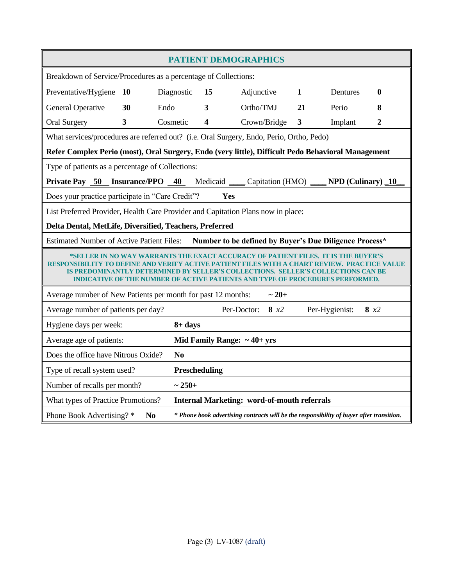| <b>PATIENT DEMOGRAPHICS</b>                                                                                                                                                                                                                                                                                                                    |                                                                                          |                |                         |                                  |     |              |                                                                                          |                |
|------------------------------------------------------------------------------------------------------------------------------------------------------------------------------------------------------------------------------------------------------------------------------------------------------------------------------------------------|------------------------------------------------------------------------------------------|----------------|-------------------------|----------------------------------|-----|--------------|------------------------------------------------------------------------------------------|----------------|
| Breakdown of Service/Procedures as a percentage of Collections:                                                                                                                                                                                                                                                                                |                                                                                          |                |                         |                                  |     |              |                                                                                          |                |
| Preventative/Hygiene                                                                                                                                                                                                                                                                                                                           | <b>10</b>                                                                                | Diagnostic     | 15                      | Adjunctive                       |     | $\mathbf{1}$ | Dentures                                                                                 | 0              |
| <b>General Operative</b>                                                                                                                                                                                                                                                                                                                       | 30                                                                                       | Endo           | 3                       | Ortho/TMJ                        |     | 21           | Perio                                                                                    | 8              |
| <b>Oral Surgery</b>                                                                                                                                                                                                                                                                                                                            | 3                                                                                        | Cosmetic       | $\overline{\mathbf{4}}$ | Crown/Bridge                     |     | $\mathbf{3}$ | Implant                                                                                  | $\overline{2}$ |
| What services/procedures are referred out? (i.e. Oral Surgery, Endo, Perio, Ortho, Pedo)                                                                                                                                                                                                                                                       |                                                                                          |                |                         |                                  |     |              |                                                                                          |                |
| Refer Complex Perio (most), Oral Surgery, Endo (very little), Difficult Pedo Behavioral Management                                                                                                                                                                                                                                             |                                                                                          |                |                         |                                  |     |              |                                                                                          |                |
| Type of patients as a percentage of Collections:                                                                                                                                                                                                                                                                                               |                                                                                          |                |                         |                                  |     |              |                                                                                          |                |
| Private Pay 50 Insurance/PPO 40 Medicaid Capitation (HMO) NPD (Culinary) 10                                                                                                                                                                                                                                                                    |                                                                                          |                |                         |                                  |     |              |                                                                                          |                |
| Does your practice participate in "Care Credit"?                                                                                                                                                                                                                                                                                               |                                                                                          |                |                         | Yes                              |     |              |                                                                                          |                |
| List Preferred Provider, Health Care Provider and Capitation Plans now in place:                                                                                                                                                                                                                                                               |                                                                                          |                |                         |                                  |     |              |                                                                                          |                |
| Delta Dental, MetLife, Diversified, Teachers, Preferred                                                                                                                                                                                                                                                                                        |                                                                                          |                |                         |                                  |     |              |                                                                                          |                |
| Number to be defined by Buyer's Due Diligence Process*<br><b>Estimated Number of Active Patient Files:</b>                                                                                                                                                                                                                                     |                                                                                          |                |                         |                                  |     |              |                                                                                          |                |
| *SELLER IN NO WAY WARRANTS THE EXACT ACCURACY OF PATIENT FILES. IT IS THE BUYER'S<br><b>RESPONSIBILITY TO DEFINE AND VERIFY ACTIVE PATIENT</b><br><b>CE VALUE</b><br>IS PREDOMINANTLY DETERMINED BY SELLER'S COLLECTIONS.  SELLER'S COLLECTIONS CAN BE<br><b>INDICATIVE OF THE NUMBER OF ACTIVE PATIENTS AND TYPE OF PROCEDURES PERFORMED.</b> |                                                                                          |                |                         |                                  |     |              |                                                                                          |                |
| Average number of New Patients per month for past 12 months:<br>$~1 - 20 +$                                                                                                                                                                                                                                                                    |                                                                                          |                |                         |                                  |     |              |                                                                                          |                |
| Average number of patients per day?                                                                                                                                                                                                                                                                                                            |                                                                                          |                |                         | Per-Doctor:                      | 8x2 |              | Per-Hygienist:                                                                           | 8x2            |
| Hygiene days per week:                                                                                                                                                                                                                                                                                                                         |                                                                                          | $8 + days$     |                         |                                  |     |              |                                                                                          |                |
| Average age of patients:                                                                                                                                                                                                                                                                                                                       |                                                                                          |                |                         | Mid Family Range: $\sim$ 40+ yrs |     |              |                                                                                          |                |
| Does the office have Nitrous Oxide?                                                                                                                                                                                                                                                                                                            |                                                                                          | N <sub>0</sub> |                         |                                  |     |              |                                                                                          |                |
| Type of recall system used?                                                                                                                                                                                                                                                                                                                    |                                                                                          |                | Prescheduling           |                                  |     |              |                                                                                          |                |
| Number of recalls per month?                                                                                                                                                                                                                                                                                                                   |                                                                                          | $~1 - 250 +$   |                         |                                  |     |              |                                                                                          |                |
|                                                                                                                                                                                                                                                                                                                                                | <b>Internal Marketing: word-of-mouth referrals</b><br>What types of Practice Promotions? |                |                         |                                  |     |              |                                                                                          |                |
| Phone Book Advertising? *                                                                                                                                                                                                                                                                                                                      | N <sub>0</sub>                                                                           |                |                         |                                  |     |              | * Phone book advertising contracts will be the responsibility of buyer after transition. |                |